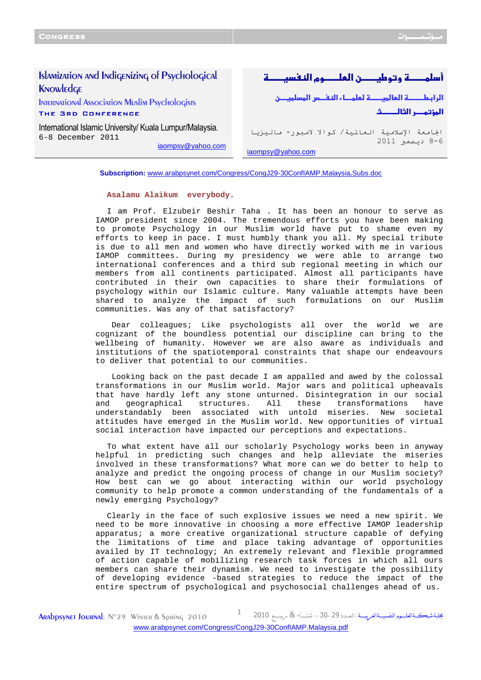# Islamization and Indigenizing of Psychological **KNOWLEDGE**

International Association Muslim Psychologists The 3rd Conference

International Islamic University/ Kuala Lumpur/Malaysia. 6-8 December 2011

iaompsy@yahoo.com

- ووطنאوמא

אאطא--אسא-- ن المؤتمــر الثالـــــث

الجامعة الإسلامية العالمية/ كوالا لامبور- ماليزيا 8-6 د 2011 iaompsy@yahoo.com

**Subscription:** [www.arabpsynet.com/Congress/CongJ29-30ConfIAMP.Malaysia](www.arabpsynet.com/Congress/CongJ29-30ConfIAMP.Malaysia.Subs.doc)**.**Subs.doc

## **Asalamu Alaikum everybody.**

I am Prof. Elzubeir Beshir Taha . It has been an honour to serve as IAMOP president since 2004. The tremendous efforts you have been making to promote Psychology in our Muslim world have put to shame even my efforts to keep in pace. I must humbly thank you all. My special tribute is due to all men and women who have directly worked with me in various IAMOP committees. During my presidency we were able to arrange two international conferences and a third sub regional meeting in which our members from all continents participated. Almost all participants have contributed in their own capacities to share their formulations of psychology within our Islamic culture. Many valuable attempts have been shared to analyze the impact of such formulations on our Muslim communities. Was any of that satisfactory?

Dear colleagues; Like psychologists all over the world we are cognizant of the boundless potential our discipline can bring to the wellbeing of humanity. However we are also aware as individuals and institutions of the spatiotemporal constraints that shape our endeavours to deliver that potential to our communities.

Looking back on the past decade I am appalled and awed by the colossal transformations in our Muslim world. Major wars and political upheavals that have hardly left any stone unturned. Disintegration in our social and geographical structures. All these transformations have understandably been associated with untold miseries. New societal attitudes have emerged in the Muslim world. New opportunities of virtual social interaction have impacted our perceptions and expectations.

To what extent have all our scholarly Psychology works been in anyway helpful in predicting such changes and help alleviate the miseries involved in these transformations? What more can we do better to help to analyze and predict the ongoing process of change in our Muslim society? How best can we go about interacting within our world psychology community to help promote a common understanding of the fundamentals of a newly emerging Psychology?

Clearly in the face of such explosive issues we need a new spirit. We need to be more innovative in choosing a more effective IAMOP leadership apparatus; a more creative organizational structure capable of defying the limitations of time and place taking advantage of opportunities availed by IT technology; An extremely relevant and flexible programmed of action capable of mobilizing research task forces in which all ours members can share their dynamism. We need to investigate the possibility of developing evidence -based strategies to reduce the impact of the entire spectrum of psychological and psychosocial challenges ahead of us.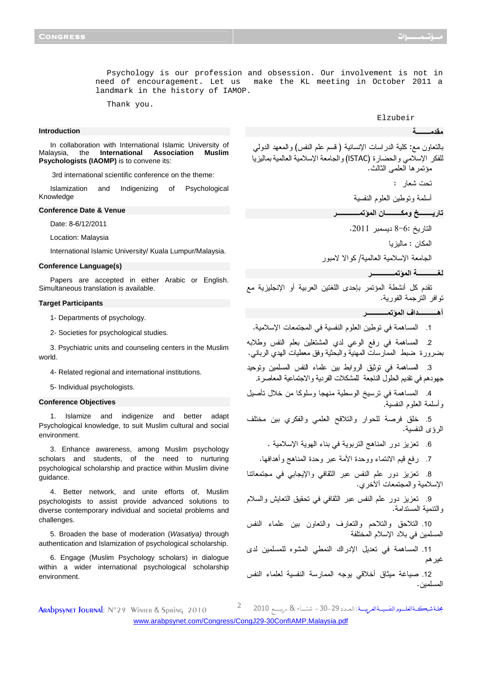Psychology is our profession and obsession. Our involvement is not in need of encouragement. Let us make the KL meeting in October 2011 a landmark in the history of IAMOP.

Thank you.

### **Introduction**

In collaboration with International Islamic University of Malaysia, the **International Association Muslim Psychologists (IAOMP)** is to convene its:

3rd international scientific conference on the theme:

Islamization and Indigenizing of Psychological Knowledge

### **Conference Date & Venue**

Date: 8-6/12/2011

Location: Malaysia

International Islamic University/ Kuala Lumpur/Malaysia.

#### **Conference Language(s)**

Papers are accepted in either Arabic or English. Simultaneous translation is available.

### **Target Participants**

1- Departments of psychology.

2- Societies for psychological studies.

3. Psychiatric units and counseling centers in the Muslim world.

4- Related regional and international institutions.

5- Individual psychologists.

# **Conference Objectives**

1. Islamize and indigenize and better adapt Psychological knowledge, to suit Muslim cultural and social environment.

3. Enhance awareness, among Muslim psychology scholars and students, of the need to nurturing psychological scholarship and practice within Muslim divine guidance.

4. Better network, and unite efforts of, Muslim psychologists to assist provide advanced solutions to diverse contemporary individual and societal problems and challenges.

5. Broaden the base of moderation (Wasatiya) through authentication and Islamization of psychological scholarship.

6. Engage (Muslim Psychology scholars) in dialogue within a wider international psychological scholarship environment.

Elzubeir

**--ــــــــ** 

بالتعاون مع: كلية الدراسات الإنسانية ( قسم علم النفس و ) المعهد الدولي للفكر الإسلامي والحضارة (ISTAC (والجامعة الإسلامية العالمية بماليز يا مؤتمرها العلمى الثالث . تحت شعار :

أسلمة وتوطين العلوم النفسية

 **رــــــــ
 و-ـــــــــ ن ا ـــــــــــــ** 

التاريخ 8-6: ديسمبر 2011 .

المكان : ماليزيا

الجامعة الإسلامية العالمية/ كوالا لامبور

```
ــــــــــــ ا
ـــــــــــــ
```
تقدم كل أنشطة المؤتمر بإحدى اللغتين العربية أو الإنجليزية مع توافر الترجمة الفورية .

**أهـــــــــــاف ا ــــــــــــ** 

1. المساهمة في توطين العلوم النفسية في المجتمعات الإسلامية.

2. المساهمة في رفع الوعي لدي المشتغلين بعلم النفس وطلابه بضرورة ضبط الممارسات المهنية والبحثية وفق معطيات الهدي الرباني.

3. المساهمة في توثيق الروابط بين علماء النفس المسلمين وتوحيد جهودهم في تقديم الحلول الناجعة للمشكلات الفردية والاجتماعية المعاصرة .

4. المساهمة في ترسيخ الوسطية منهجا وسلوكا من خلال تأصيل وأسلمة العلوم النفسية .

5. خلق فرصة للحوار والتلاقح العلمي والفكري بين مختلف الرؤى النفسية.

6. تعزيز دور المناهج التربوية في بناء الهوية الإسلامية .

7. رفع قيم الانتماء ووحدة الأمة عبر وحدة المناهج وأهدافها.

8. تعزيز دور علم النفس عبر الثقافي والإيجابي في مجتمعاتنا الإسلامية والمجتمعات ألآخري.

9. تعزيز دور علم النفس عبر الثقافي في تحقيق التعايش والسلام والتنمية المستدامة .

10. التلاحق والتلاحم والتعارف والتعاون بين علماء النفس المسلمين في بلاد الإسلام المختلفة

11. المساهمة في تعديل الإدراك النمطي المشوه للمسلمين لدى غيرهم

12. صياغة ميثاق أخلاقي يوجه الممارسة النفسية لعلماء النفس المسلمين.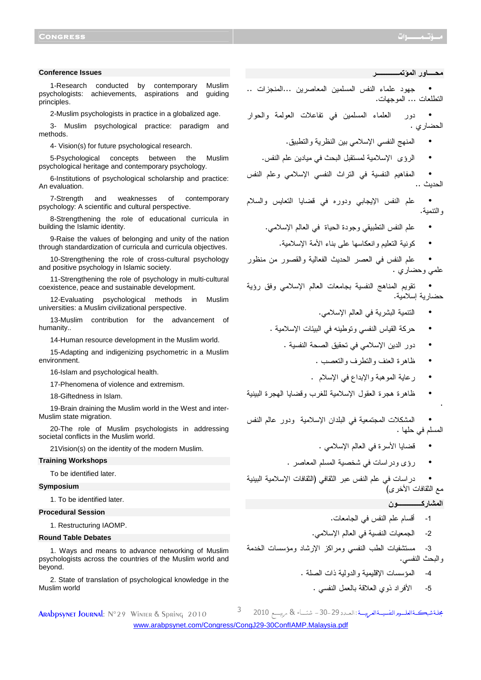### **Conference Issues**

1-Research conducted by contemporary Muslim psychologists: achievements, aspirations and guiding principles.

2-Muslim psychologists in practice in a globalized age.

3- Muslim psychological practice: paradigm and methods.

4- Vision(s) for future psychological research.

5-Psychological concepts between the Muslim psychological heritage and contemporary psychology.

6-Institutions of psychological scholarship and practice: An evaluation.

7-Strength and weaknesses of contemporary psychology: A scientific and cultural perspective.

8-Strengthening the role of educational curricula in building the Islamic identity.

9-Raise the values of belonging and unity of the nation through standardization of curricula and curricula objectives.

10-Strengthening the role of cross-cultural psychology and positive psychology in Islamic society.

11-Strengthening the role of psychology in multi-cultural coexistence, peace and sustainable development.

12-Evaluating psychological methods in Muslim universities: a Muslim civilizational perspective.

13-Muslim contribution for the advancement of humanity..

14-Human resource development in the Muslim world.

15-Adapting and indigenizing psychometric in a Muslim environment.

16-Islam and psychological health.

17-Phenomena of violence and extremism.

18-Giftedness in Islam.

19-Brain draining the Muslim world in the West and inter-Muslim state migration.

20-The role of Muslim psychologists in addressing societal conflicts in the Muslim world.

21Vision(s) on the identity of the modern Muslim.

# **Training Workshops**

To be identified later.

#### **Symposium**

1. To be identified later.

### **Procedural Session**

1. Restructuring IAOMP.

## **Round Table Debates**

1. Ways and means to advance networking of Muslim psychologists across the countries of the Muslim world and beyond.

2. State of translation of psychological knowledge in the Muslim world

**-ــــ ور ا ـــــــــــــ** 

• جهود علماء النفس المسلمين المعاصرين ...المنجزات .. التطلعات ... الموجهات .

• دور ا لعلماء المسلمين في تفاعلات العولمة والحوار الحضاري .

- المنهج النفسي الإسلامي بين النظرية والتطبيق.
- الرؤى الإسلامية لمستقبل البحث في ميادين علم النفس.

• المفاهيم النفسية في التراث النفسي الإسلامي وعلم النفس الحديث ..

• علم النفس الإيجابي ودوره في قضايا التعايس والسلام والتنمية .

- علم النفس التطبيقي وجودة الحياة في العالم الإسلامي.
	- كونية التعليم وانعكاسها على بناء الأمة الإسلامية .

• علم النفس في العصر الحديث الفعالية والقصور من منظور علمي وحضاري .

• تقويم المناهج النفسية بجامعات العالم الإسلامي وفق رؤ ية حضارية إسلامية.

- التنمية البشرية في العالم الإسلامي.
- حركة القياس النفسي وتوطينه في البيئات الإسلامية .
	- دور الدين الإسلامي في تحقيق الصحة النفسية .
		- ظاهرة العنف والتطرف والتعصب .
		- رعاية الموهبة والإبداع في الإسلام .
- ظاهرة هجرة العقول الإسلامية للغرب وقضايا الهجرة البينية

• المشكلات المجتمعية في البلدان الإسلامية ودور عالم النفس المسلم في حلها .

- قضايا الأسرة في العالم الإسلامي .
- رؤى ودراسات في شخصية المسلم المعاصر .

• دراسات في علم النفس عبر الثقافي (الثقافات الإسلامية البينية مع الثقافات الأخرى)

# **ا رآــــــــــــــن**

.

- 1- أقسام علم النفس في الجامعات .
- 2- الجمعيات النفسية في العالم الإسلامي.

3- مستشفيات الطب النفسي ومراكز الإرشاد ومؤسسات الخدمة والبحث النفسي.

- 4- المؤسسات الإقليمية والدولية ذات الصلة .
	- 5- الأفراد ذوي العلاقة بالعمل النفسي .

مجلة شبكـــةالعلـــوه النفسيــةالعربيـــة : اا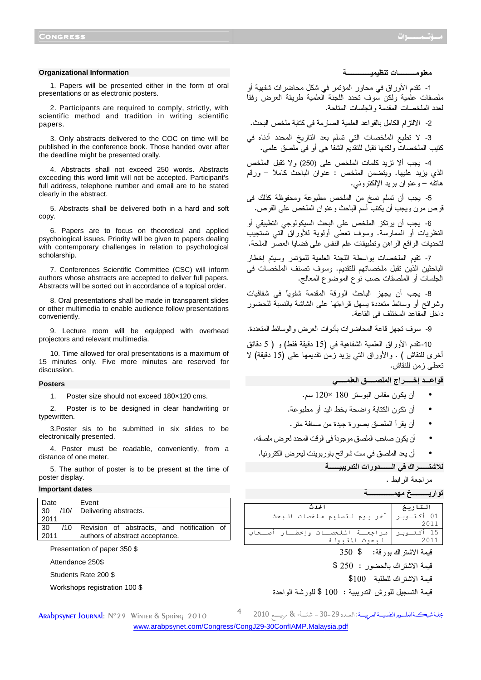#### **Organizational Information**

1. Papers will be presented either in the form of oral presentations or as electronic posters.

2. Participants are required to comply, strictly, with scientific method and tradition in writing scientific papers.

3. Only abstracts delivered to the COC on time will be published in the conference book. Those handed over after the deadline might be presented orally.

4. Abstracts shall not exceed 250 words. Abstracts exceeding this word limit will not be accepted. Participant's full address, telephone number and email are to be stated clearly in the abstract.

5. Abstracts shall be delivered both in a hard and soft copy.

6. Papers are to focus on theoretical and applied psychological issues. Priority will be given to papers dealing with contemporary challenges in relation to psychological scholarship.

7. Conferences Scientific Committee (CSC) will inform authors whose abstracts are accepted to deliver full papers. Abstracts will be sorted out in accordance of a topical order.

8. Oral presentations shall be made in transparent slides or other multimedia to enable audience follow presentations conveniently.

9. Lecture room will be equipped with overhead projectors and relevant multimedia.

10. Time allowed for oral presentations is a maximum of 15 minutes only. Five more minutes are reserved for discussion.

### **Posters**

1. Poster size should not exceed 180×120 cms.

2. Poster is to be designed in clear handwriting or typewritten.

3.Poster sis to be submitted in six slides to be electronically presented.

4. Poster must be readable, conveniently, from a distance of one meter.

5. The author of poster is to be present at the time of poster display.

### **Important dates**

| Date             | Event                                      |
|------------------|--------------------------------------------|
| /10/<br>- 30     | Delivering abstracts.                      |
| 2011             |                                            |
| $/10^{-}$<br>-30 | Revision of abstracts, and notification of |
| 2011             | authors of abstract acceptance.            |
|                  |                                            |

Presentation of paper 350 \$

Attendance 250\$

Students Rate 200 \$

Workshops registration 100 \$

**--ــــــــــ ت ــــــــــــــ** 

1- تقدم الأوراق في محاور المؤتمر في شكل محاضرات شفهية أو ملصقات علمية ولكن سوف تحدد اللجنة العلمية طريقة العرض وفقاً لعدد الملخصات المقدمة والجلسات المتاحة .

- 2 الالتزام الكامل بالقواعد العلمية الصارمة في كتابة ملخص البحث.

3- لا تطبع الملخصات التي تسلم بعد التاريخ المحدد أدناه في كتيب الملخصات ولكنها تقبل للتقديم الشفا هي أو في ملصق علمي.

4- يجب ألا تزيد كلمات الملخص على (250) ولا تقبل الملخص الذي يزيد عليها. ويتضمن الملخص : عنوان الباحث كاملاً – ورقم هاتفه – وعنوان بريد الإلكتروني.

- 5 يجب أن تسلم نسخ من الملخص مطبوعة ومحفوظة كذلك فى قرص مرن ويجب أن يكتب أسم الباحث وعنوان الملخص على القرص.

6- يجب أن يرتكز الملخص على البحث السيكولوجي التطبيقي أو النظريات أو الممارسة. وسوف تعطى أولوية للأوراق التي تستجيب لتحديات الواقع الراهن وتطبيقات علم النفس على قضايا العصر الملحة.

7- تقيم الملخصات بواسطة اللجنة العلمية للمؤتمر وسيتم إخطار الباحثين الذين تقبل ملخصاتهم للتقديم. وسوف تصنف الملخصات فى الجلسات أو الملصقات حسب نوع الموضوع المعالج.

8- يجب أن يجهز الباحث الورقة المقدمة شفوياً فى شفافيات وشرائح أو وسائط متعددة يسهل قراءتها على الشاشة بالنسبة للحضور داخل المقاعد المختلف فى القاعة.

- 9 سوف تجهز قاعة المحاضرات بأدوات العرض والوسائط المتعددة.

10- تقدم الأوراق العلمية الشفاهية في (15 دقيقة فقط) و ( 5 دقائق أخرى للنقاش ) . والأوراق التي يزيد زمن تقديمها على (15 دقيقة) لا تعطى زمن للنقاش.

قواعــد إخــــراج الملصــــق العل*مــــى* 

- أن يكون مقاس البوستر 180 × 120 .سم
- أن تكون الكتابة واضحة بخط اليد أو مطبوعة.
- أن يقرأ الملصق بصورة جيدة من مسافة متر.
- أن يكون صاحب الملصق موجوداً فى الوقت المحدد لعرض ملصقه.

• أن يعد الملصق في ست شرائح باوربوينت ليعرض الكترونياً.

**+,\*ــــــاك -( اـــــــورات ا\*ر/ــــــ**

```
مراجعة الرابط .
```
تواريــــــــــخ مـهمــــــــــــــــة

| الحدث                                                 | التاريخ |
|-------------------------------------------------------|---------|
| _01 أكتـوبر   آخر يـوم لـتسليم مـلخصات الـبحث<br>2011 |         |
|                                                       |         |

قيمة الاشتراك بورقة: \$ 350

قيمة الاشتراك بالحضور : 250 \$

قيمة الاشتراك للطلبة 100 \$

مجلة شبكـــةالعلـــوه النفسيــةالعربيـــة : اا

قيمة التسجيل للورش التدريبية : 100 \$ للورشة الواحدة

<www.arabpsynet.com/Congress/CongJ29-30ConfIAMP.Malaysia.pdf>